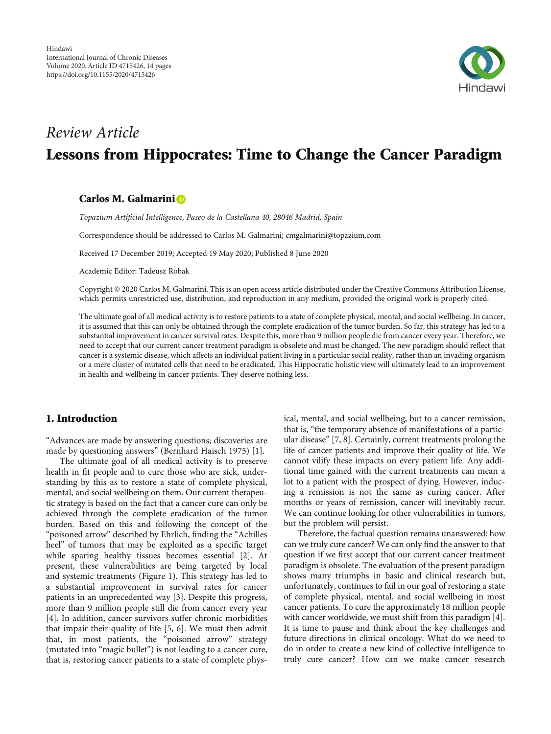

# Review Article Lessons from Hippocrates: Time to Change the Cancer Paradigm

## Carlos M. Galmarini<sup>o</sup>

Topazium Artificial Intelligence, Paseo de la Castellana 40, 28046 Madrid, Spain

Correspondence should be addressed to Carlos M. Galmarini; cmgalmarini@topazium.com

Received 17 December 2019; Accepted 19 May 2020; Published 8 June 2020

Academic Editor: Tadeusz Robak

Copyright © 2020 Carlos M. Galmarini. This is an open access article distributed under the [Creative Commons Attribution License](https://creativecommons.org/licenses/by/4.0/), which permits unrestricted use, distribution, and reproduction in any medium, provided the original work is properly cited.

The ultimate goal of all medical activity is to restore patients to a state of complete physical, mental, and social wellbeing. In cancer, it is assumed that this can only be obtained through the complete eradication of the tumor burden. So far, this strategy has led to a substantial improvement in cancer survival rates. Despite this, more than 9 million people die from cancer every year. Therefore, we need to accept that our current cancer treatment paradigm is obsolete and must be changed. The new paradigm should reflect that cancer is a systemic disease, which affects an individual patient living in a particular social reality, rather than an invading organism or a mere cluster of mutated cells that need to be eradicated. This Hippocratic holistic view will ultimately lead to an improvement in health and wellbeing in cancer patients. They deserve nothing less.

## 1. Introduction

"Advances are made by answering questions; discoveries are made by questioning answers" (Bernhard Haisch 1975) [[1\]](#page-8-0).

The ultimate goal of all medical activity is to preserve health in fit people and to cure those who are sick, understanding by this as to restore a state of complete physical, mental, and social wellbeing on them. Our current therapeutic strategy is based on the fact that a cancer cure can only be achieved through the complete eradication of the tumor burden. Based on this and following the concept of the "poisoned arrow" described by Ehrlich, finding the "Achilles heel" of tumors that may be exploited as a specific target while sparing healthy tissues becomes essential [\[2](#page-8-0)]. At present, these vulnerabilities are being targeted by local and systemic treatments (Figure [1\)](#page-1-0). This strategy has led to a substantial improvement in survival rates for cancer patients in an unprecedented way [[3](#page-8-0)]. Despite this progress, more than 9 million people still die from cancer every year [\[4](#page-8-0)]. In addition, cancer survivors suffer chronic morbidities that impair their quality of life [[5, 6\]](#page-8-0). We must then admit that, in most patients, the "poisoned arrow" strategy (mutated into "magic bullet") is not leading to a cancer cure, that is, restoring cancer patients to a state of complete phys-

ical, mental, and social wellbeing, but to a cancer remission, that is, "the temporary absence of manifestations of a particular disease" [\[7](#page-8-0), [8](#page-8-0)]. Certainly, current treatments prolong the life of cancer patients and improve their quality of life. We cannot vilify these impacts on every patient life. Any additional time gained with the current treatments can mean a lot to a patient with the prospect of dying. However, inducing a remission is not the same as curing cancer. After months or years of remission, cancer will inevitably recur. We can continue looking for other vulnerabilities in tumors, but the problem will persist.

Therefore, the factual question remains unanswered: how can we truly cure cancer? We can only find the answer to that question if we first accept that our current cancer treatment paradigm is obsolete. The evaluation of the present paradigm shows many triumphs in basic and clinical research but, unfortunately, continues to fail in our goal of restoring a state of complete physical, mental, and social wellbeing in most cancer patients. To cure the approximately 18 million people with cancer worldwide, we must shift from this paradigm [[4](#page-8-0)]. It is time to pause and think about the key challenges and future directions in clinical oncology. What do we need to do in order to create a new kind of collective intelligence to truly cure cancer? How can we make cancer research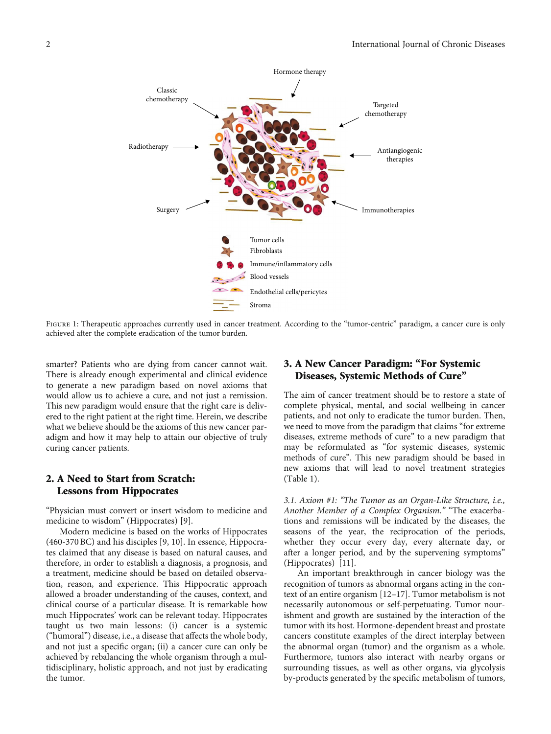<span id="page-1-0"></span>

FIGURE 1: Therapeutic approaches currently used in cancer treatment. According to the "tumor-centric" paradigm, a cancer cure is only achieved after the complete eradication of the tumor burden.

smarter? Patients who are dying from cancer cannot wait. There is already enough experimental and clinical evidence to generate a new paradigm based on novel axioms that would allow us to achieve a cure, and not just a remission. This new paradigm would ensure that the right care is delivered to the right patient at the right time. Herein, we describe what we believe should be the axioms of this new cancer paradigm and how it may help to attain our objective of truly curing cancer patients.

# 2. A Need to Start from Scratch: Lessons from Hippocrates

"Physician must convert or insert wisdom to medicine and medicine to wisdom" (Hippocrates) [[9](#page-8-0)].

Modern medicine is based on the works of Hippocrates (460-370 BC) and his disciples [\[9, 10](#page-8-0)]. In essence, Hippocrates claimed that any disease is based on natural causes, and therefore, in order to establish a diagnosis, a prognosis, and a treatment, medicine should be based on detailed observation, reason, and experience. This Hippocratic approach allowed a broader understanding of the causes, context, and clinical course of a particular disease. It is remarkable how much Hippocrates' work can be relevant today. Hippocrates taught us two main lessons: (i) cancer is a systemic ("humoral") disease, i.e., a disease that affects the whole body, and not just a specific organ; (ii) a cancer cure can only be achieved by rebalancing the whole organism through a multidisciplinary, holistic approach, and not just by eradicating the tumor.

# 3. A New Cancer Paradigm: "For Systemic Diseases, Systemic Methods of Cure"

The aim of cancer treatment should be to restore a state of complete physical, mental, and social wellbeing in cancer patients, and not only to eradicate the tumor burden. Then, we need to move from the paradigm that claims "for extreme diseases, extreme methods of cure" to a new paradigm that may be reformulated as "for systemic diseases, systemic methods of cure". This new paradigm should be based in new axioms that will lead to novel treatment strategies (Table [1](#page-2-0)).

3.1. Axiom #1: "The Tumor as an Organ-Like Structure, i.e., Another Member of a Complex Organism." "The exacerbations and remissions will be indicated by the diseases, the seasons of the year, the reciprocation of the periods, whether they occur every day, every alternate day, or after a longer period, and by the supervening symptoms" (Hippocrates) [[11](#page-8-0)].

An important breakthrough in cancer biology was the recognition of tumors as abnormal organs acting in the context of an entire organism [[12](#page-8-0)–[17\]](#page-8-0). Tumor metabolism is not necessarily autonomous or self-perpetuating. Tumor nourishment and growth are sustained by the interaction of the tumor with its host. Hormone-dependent breast and prostate cancers constitute examples of the direct interplay between the abnormal organ (tumor) and the organism as a whole. Furthermore, tumors also interact with nearby organs or surrounding tissues, as well as other organs, via glycolysis by-products generated by the specific metabolism of tumors,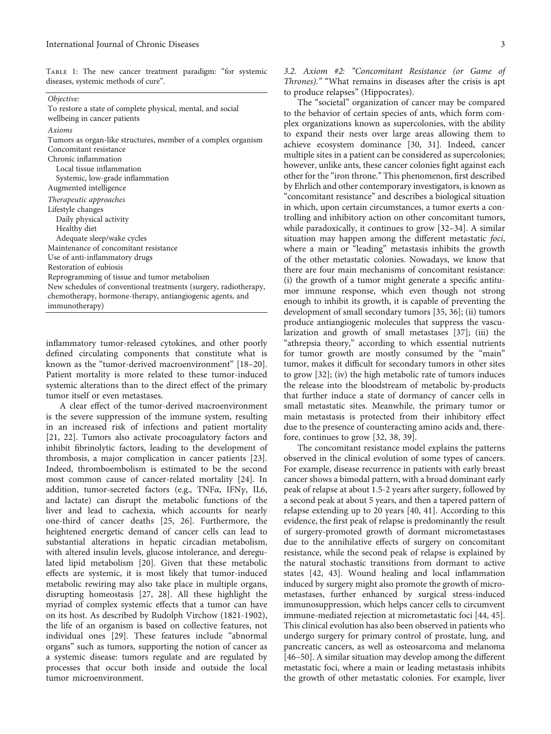<span id="page-2-0"></span>Table 1: The new cancer treatment paradigm: "for systemic diseases, systemic methods of cure".

| Objective:                                                       |
|------------------------------------------------------------------|
| To restore a state of complete physical, mental, and social      |
| wellbeing in cancer patients                                     |
| <i>Axioms</i>                                                    |
| Tumors as organ-like structures, member of a complex organism    |
| Concomitant resistance                                           |
| Chronic inflammation                                             |
| Local tissue inflammation                                        |
| Systemic, low-grade inflammation                                 |
| Augmented intelligence                                           |
| Therapeutic approaches                                           |
| Lifestyle changes                                                |
| Daily physical activity                                          |
| Healthy diet                                                     |
| Adequate sleep/wake cycles                                       |
| Maintenance of concomitant resistance                            |
| Use of anti-inflammatory drugs                                   |
| Restoration of eubiosis                                          |
| Reprogramming of tissue and tumor metabolism                     |
| New schedules of conventional treatments (surgery, radiotherapy, |
| chemotherapy, hormone-therapy, antiangiogenic agents, and        |
| immunotherapy)                                                   |
|                                                                  |

inflammatory tumor-released cytokines, and other poorly defined circulating components that constitute what is known as the "tumor-derived macroenvironment" [\[18](#page-8-0)–[20](#page-8-0)]. Patient mortality is more related to these tumor-induced systemic alterations than to the direct effect of the primary tumor itself or even metastases.

A clear effect of the tumor-derived macroenvironment is the severe suppression of the immune system, resulting in an increased risk of infections and patient mortality [\[21](#page-8-0), [22](#page-9-0)]. Tumors also activate procoagulatory factors and inhibit fibrinolytic factors, leading to the development of thrombosis, a major complication in cancer patients [[23](#page-9-0)]. Indeed, thromboembolism is estimated to be the second most common cause of cancer-related mortality [\[24\]](#page-9-0). In addition, tumor-secreted factors (e.g., TNF*α*, IFN*γ*, IL6, and lactate) can disrupt the metabolic functions of the liver and lead to cachexia, which accounts for nearly one-third of cancer deaths [[25, 26](#page-9-0)]. Furthermore, the heightened energetic demand of cancer cells can lead to substantial alterations in hepatic circadian metabolism, with altered insulin levels, glucose intolerance, and deregulated lipid metabolism [\[20\]](#page-8-0). Given that these metabolic effects are systemic, it is most likely that tumor-induced metabolic rewiring may also take place in multiple organs, disrupting homeostasis [[27](#page-9-0), [28\]](#page-9-0). All these highlight the myriad of complex systemic effects that a tumor can have on its host. As described by Rudolph Virchow (1821-1902), the life of an organism is based on collective features, not individual ones [\[29](#page-9-0)]. These features include "abnormal organs" such as tumors, supporting the notion of cancer as a systemic disease: tumors regulate and are regulated by processes that occur both inside and outside the local tumor microenvironment.

3.2. Axiom #2: "Concomitant Resistance (or Game of Thrones)." "What remains in diseases after the crisis is apt to produce relapses" (Hippocrates).

The "societal" organization of cancer may be compared to the behavior of certain species of ants, which form complex organizations known as supercolonies, with the ability to expand their nests over large areas allowing them to achieve ecosystem dominance [\[30, 31](#page-9-0)]. Indeed, cancer multiple sites in a patient can be considered as supercolonies; however, unlike ants, these cancer colonies fight against each other for the "iron throne." This phenomenon, first described by Ehrlich and other contemporary investigators, is known as "concomitant resistance" and describes a biological situation in which, upon certain circumstances, a tumor exerts a controlling and inhibitory action on other concomitant tumors, while paradoxically, it continues to grow [[32](#page-9-0)–[34\]](#page-9-0). A similar situation may happen among the different metastatic foci, where a main or "leading" metastasis inhibits the growth of the other metastatic colonies. Nowadays, we know that there are four main mechanisms of concomitant resistance: (i) the growth of a tumor might generate a specific antitumor immune response, which even though not strong enough to inhibit its growth, it is capable of preventing the development of small secondary tumors [[35](#page-9-0), [36\]](#page-9-0); (ii) tumors produce antiangiogenic molecules that suppress the vascularization and growth of small metastases [[37](#page-9-0)]; (iii) the "athrepsia theory," according to which essential nutrients for tumor growth are mostly consumed by the "main" tumor, makes it difficult for secondary tumors in other sites to grow [\[32\]](#page-9-0); (iv) the high metabolic rate of tumors induces the release into the bloodstream of metabolic by-products that further induce a state of dormancy of cancer cells in small metastatic sites. Meanwhile, the primary tumor or main metastasis is protected from their inhibitory effect due to the presence of counteracting amino acids and, therefore, continues to grow [\[32, 38](#page-9-0), [39](#page-9-0)].

The concomitant resistance model explains the patterns observed in the clinical evolution of some types of cancers. For example, disease recurrence in patients with early breast cancer shows a bimodal pattern, with a broad dominant early peak of relapse at about 1.5-2 years after surgery, followed by a second peak at about 5 years, and then a tapered pattern of relapse extending up to 20 years [\[40, 41\]](#page-9-0). According to this evidence, the first peak of relapse is predominantly the result of surgery-promoted growth of dormant micrometastases due to the annihilative effects of surgery on concomitant resistance, while the second peak of relapse is explained by the natural stochastic transitions from dormant to active states [\[42, 43](#page-9-0)]. Wound healing and local inflammation induced by surgery might also promote the growth of micrometastases, further enhanced by surgical stress-induced immunosuppression, which helps cancer cells to circumvent immune-mediated rejection at micrometastatic foci [\[44](#page-9-0), [45](#page-9-0)]. This clinical evolution has also been observed in patients who undergo surgery for primary control of prostate, lung, and pancreatic cancers, as well as osteosarcoma and melanoma [\[46](#page-9-0)–[50\]](#page-9-0). A similar situation may develop among the different metastatic foci, where a main or leading metastasis inhibits the growth of other metastatic colonies. For example, liver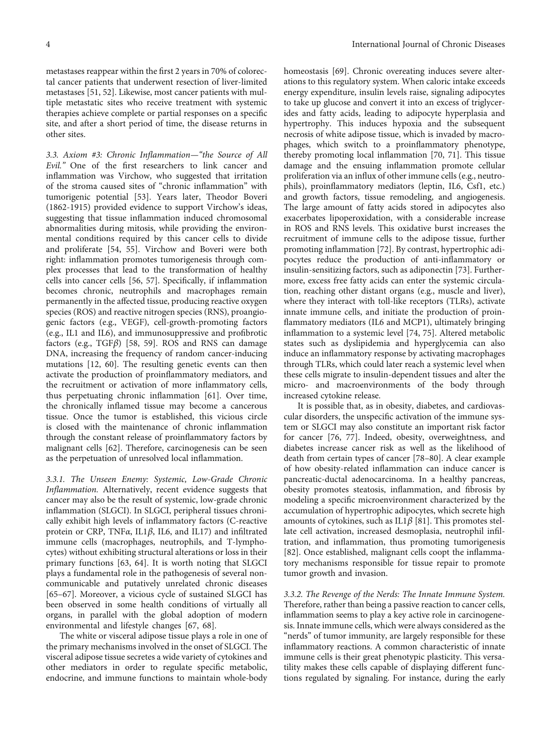metastases reappear within the first 2 years in 70% of colorectal cancer patients that underwent resection of liver-limited metastases [[51](#page-9-0), [52](#page-10-0)]. Likewise, most cancer patients with multiple metastatic sites who receive treatment with systemic therapies achieve complete or partial responses on a specific site, and after a short period of time, the disease returns in other sites.

3.3. Axiom #3: Chronic Inflammation—"the Source of All Evil." One of the first researchers to link cancer and inflammation was Virchow, who suggested that irritation of the stroma caused sites of "chronic inflammation" with tumorigenic potential [\[53\]](#page-10-0). Years later, Theodor Boveri (1862-1915) provided evidence to support Virchow's ideas, suggesting that tissue inflammation induced chromosomal abnormalities during mitosis, while providing the environmental conditions required by this cancer cells to divide and proliferate [\[54, 55\]](#page-10-0). Virchow and Boveri were both right: inflammation promotes tumorigenesis through complex processes that lead to the transformation of healthy cells into cancer cells [\[56](#page-10-0), [57](#page-10-0)]. Specifically, if inflammation becomes chronic, neutrophils and macrophages remain permanently in the affected tissue, producing reactive oxygen species (ROS) and reactive nitrogen species (RNS), proangiogenic factors (e.g., VEGF), cell-growth-promoting factors (e.g., IL1 and IL6), and immunosuppressive and profibrotic factors (e.g., TGF*β*) [\[58, 59](#page-10-0)]. ROS and RNS can damage DNA, increasing the frequency of random cancer-inducing mutations [\[12,](#page-8-0) [60\]](#page-10-0). The resulting genetic events can then activate the production of proinflammatory mediators, and the recruitment or activation of more inflammatory cells, thus perpetuating chronic inflammation [[61\]](#page-10-0). Over time, the chronically inflamed tissue may become a cancerous tissue. Once the tumor is established, this vicious circle is closed with the maintenance of chronic inflammation through the constant release of proinflammatory factors by malignant cells [\[62\]](#page-10-0). Therefore, carcinogenesis can be seen as the perpetuation of unresolved local inflammation.

3.3.1. The Unseen Enemy: Systemic, Low-Grade Chronic Inflammation. Alternatively, recent evidence suggests that cancer may also be the result of systemic, low-grade chronic inflammation (SLGCI). In SLGCI, peripheral tissues chronically exhibit high levels of inflammatory factors (C-reactive protein or CRP, TNF*α*, IL1*β*, IL6, and IL17) and infiltrated immune cells (macrophages, neutrophils, and T-lymphocytes) without exhibiting structural alterations or loss in their primary functions [\[63, 64](#page-10-0)]. It is worth noting that SLGCI plays a fundamental role in the pathogenesis of several noncommunicable and putatively unrelated chronic diseases [\[65](#page-10-0)–[67\]](#page-10-0). Moreover, a vicious cycle of sustained SLGCI has been observed in some health conditions of virtually all organs, in parallel with the global adoption of modern environmental and lifestyle changes [[67](#page-10-0), [68](#page-10-0)].

The white or visceral adipose tissue plays a role in one of the primary mechanisms involved in the onset of SLGCI. The visceral adipose tissue secretes a wide variety of cytokines and other mediators in order to regulate specific metabolic, endocrine, and immune functions to maintain whole-body

homeostasis [[69\]](#page-10-0). Chronic overeating induces severe alterations to this regulatory system. When caloric intake exceeds energy expenditure, insulin levels raise, signaling adipocytes to take up glucose and convert it into an excess of triglycerides and fatty acids, leading to adipocyte hyperplasia and hypertrophy. This induces hypoxia and the subsequent necrosis of white adipose tissue, which is invaded by macrophages, which switch to a proinflammatory phenotype, thereby promoting local inflammation [\[70, 71](#page-10-0)]. This tissue damage and the ensuing inflammation promote cellular proliferation via an influx of other immune cells (e.g., neutrophils), proinflammatory mediators (leptin, IL6, Csf1, etc.) and growth factors, tissue remodeling, and angiogenesis. The large amount of fatty acids stored in adipocytes also exacerbates lipoperoxidation, with a considerable increase in ROS and RNS levels. This oxidative burst increases the recruitment of immune cells to the adipose tissue, further promoting inflammation [[72](#page-10-0)]. By contrast, hypertrophic adipocytes reduce the production of anti-inflammatory or insulin-sensitizing factors, such as adiponectin [[73](#page-10-0)]. Furthermore, excess free fatty acids can enter the systemic circulation, reaching other distant organs (e.g., muscle and liver), where they interact with toll-like receptors (TLRs), activate innate immune cells, and initiate the production of proinflammatory mediators (IL6 and MCP1), ultimately bringing inflammation to a systemic level [[74](#page-10-0), [75\]](#page-10-0). Altered metabolic states such as dyslipidemia and hyperglycemia can also induce an inflammatory response by activating macrophages through TLRs, which could later reach a systemic level when these cells migrate to insulin-dependent tissues and alter the micro- and macroenvironments of the body through increased cytokine release.

It is possible that, as in obesity, diabetes, and cardiovascular disorders, the unspecific activation of the immune system or SLGCI may also constitute an important risk factor for cancer [[76, 77](#page-10-0)]. Indeed, obesity, overweightness, and diabetes increase cancer risk as well as the likelihood of death from certain types of cancer [[78](#page-10-0)–[80](#page-10-0)]. A clear example of how obesity-related inflammation can induce cancer is pancreatic-ductal adenocarcinoma. In a healthy pancreas, obesity promotes steatosis, inflammation, and fibrosis by modeling a specific microenvironment characterized by the accumulation of hypertrophic adipocytes, which secrete high amounts of cytokines, such as IL1*β* [\[81\]](#page-10-0). This promotes stellate cell activation, increased desmoplasia, neutrophil infiltration, and inflammation, thus promoting tumorigenesis [\[82\]](#page-10-0). Once established, malignant cells coopt the inflammatory mechanisms responsible for tissue repair to promote tumor growth and invasion.

3.3.2. The Revenge of the Nerds: The Innate Immune System. Therefore, rather than being a passive reaction to cancer cells, inflammation seems to play a key active role in carcinogenesis. Innate immune cells, which were always considered as the "nerds" of tumor immunity, are largely responsible for these inflammatory reactions. A common characteristic of innate immune cells is their great phenotypic plasticity. This versatility makes these cells capable of displaying different functions regulated by signaling. For instance, during the early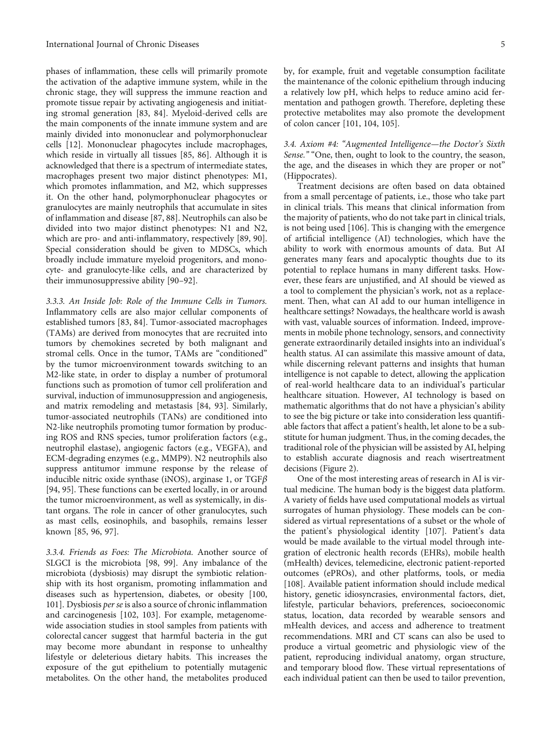phases of inflammation, these cells will primarily promote the activation of the adaptive immune system, while in the chronic stage, they will suppress the immune reaction and promote tissue repair by activating angiogenesis and initiating stromal generation [[83](#page-10-0), [84](#page-10-0)]. Myeloid-derived cells are the main components of the innate immune system and are mainly divided into mononuclear and polymorphonuclear cells [\[12\]](#page-8-0). Mononuclear phagocytes include macrophages, which reside in virtually all tissues [[85](#page-11-0), [86\]](#page-11-0). Although it is acknowledged that there is a spectrum of intermediate states, macrophages present two major distinct phenotypes: M1, which promotes inflammation, and M2, which suppresses it. On the other hand, polymorphonuclear phagocytes or granulocytes are mainly neutrophils that accumulate in sites of inflammation and disease [\[87, 88\]](#page-11-0). Neutrophils can also be divided into two major distinct phenotypes: N1 and N2, which are pro- and anti-inflammatory, respectively [\[89, 90](#page-11-0)]. Special consideration should be given to MDSCs, which broadly include immature myeloid progenitors, and monocyte- and granulocyte-like cells, and are characterized by their immunosuppressive ability [\[90](#page-11-0)–[92\]](#page-11-0).

3.3.3. An Inside Job: Role of the Immune Cells in Tumors. Inflammatory cells are also major cellular components of established tumors [\[83, 84](#page-10-0)]. Tumor-associated macrophages (TAMs) are derived from monocytes that are recruited into tumors by chemokines secreted by both malignant and stromal cells. Once in the tumor, TAMs are "conditioned" by the tumor microenvironment towards switching to an M2-like state, in order to display a number of protumoral functions such as promotion of tumor cell proliferation and survival, induction of immunosuppression and angiogenesis, and matrix remodeling and metastasis [[84](#page-10-0), [93](#page-11-0)]. Similarly, tumor-associated neutrophils (TANs) are conditioned into N2-like neutrophils promoting tumor formation by producing ROS and RNS species, tumor proliferation factors (e.g., neutrophil elastase), angiogenic factors (e.g., VEGFA), and ECM-degrading enzymes (e.g., MMP9). N2 neutrophils also suppress antitumor immune response by the release of inducible nitric oxide synthase (iNOS), arginase 1, or TGF*β* [\[94](#page-11-0), [95](#page-11-0)]. These functions can be exerted locally, in or around the tumor microenvironment, as well as systemically, in distant organs. The role in cancer of other granulocytes, such as mast cells, eosinophils, and basophils, remains lesser known [\[85, 96, 97\]](#page-11-0).

3.3.4. Friends as Foes: The Microbiota. Another source of SLGCI is the microbiota [[98, 99](#page-11-0)]. Any imbalance of the microbiota (dysbiosis) may disrupt the symbiotic relationship with its host organism, promoting inflammation and diseases such as hypertension, diabetes, or obesity [\[100,](#page-11-0) [101](#page-11-0)]. Dysbiosis *per se* is also a source of chronic inflammation and carcinogenesis [\[102, 103](#page-11-0)]. For example, metagenomewide association studies in stool samples from patients with colorectal cancer suggest that harmful bacteria in the gut may become more abundant in response to unhealthy lifestyle or deleterious dietary habits. This increases the exposure of the gut epithelium to potentially mutagenic metabolites. On the other hand, the metabolites produced by, for example, fruit and vegetable consumption facilitate the maintenance of the colonic epithelium through inducing a relatively low pH, which helps to reduce amino acid fermentation and pathogen growth. Therefore, depleting these protective metabolites may also promote the development of colon cancer [[101, 104](#page-11-0), [105](#page-11-0)].

3.4. Axiom #4: "Augmented Intelligence—the Doctor's Sixth Sense." "One, then, ought to look to the country, the season, the age, and the diseases in which they are proper or not" (Hippocrates).

Treatment decisions are often based on data obtained from a small percentage of patients, i.e., those who take part in clinical trials. This means that clinical information from the majority of patients, who do not take part in clinical trials, is not being used [[106](#page-11-0)]. This is changing with the emergence of artificial intelligence (AI) technologies, which have the ability to work with enormous amounts of data. But AI generates many fears and apocalyptic thoughts due to its potential to replace humans in many different tasks. However, these fears are unjustified, and AI should be viewed as a tool to complement the physician's work, not as a replacement. Then, what can AI add to our human intelligence in healthcare settings? Nowadays, the healthcare world is awash with vast, valuable sources of information. Indeed, improvements in mobile phone technology, sensors, and connectivity generate extraordinarily detailed insights into an individual's health status. AI can assimilate this massive amount of data, while discerning relevant patterns and insights that human intelligence is not capable to detect, allowing the application of real-world healthcare data to an individual's particular healthcare situation. However, AI technology is based on mathematic algorithms that do not have a physician's ability to see the big picture or take into consideration less quantifiable factors that affect a patient's health, let alone to be a substitute for human judgment. Thus, in the coming decades, the traditional role of the physician will be assisted by AI, helping to establish accurate diagnosis and reach wisertreatment decisions (Figure [2\)](#page-5-0).

One of the most interesting areas of research in AI is virtual medicine. The human body is the biggest data platform. A variety of fields have used computational models as virtual surrogates of human physiology. These models can be considered as virtual representations of a subset or the whole of the patient's physiological identity [\[107\]](#page-11-0). Patient's data would be made available to the virtual model through integration of electronic health records (EHRs), mobile health (mHealth) devices, telemedicine, electronic patient-reported outcomes (ePROs), and other platforms, tools, or media [\[108\]](#page-11-0). Available patient information should include medical history, genetic idiosyncrasies, environmental factors, diet, lifestyle, particular behaviors, preferences, socioeconomic status, location, data recorded by wearable sensors and mHealth devices, and access and adherence to treatment recommendations. MRI and CT scans can also be used to produce a virtual geometric and physiologic view of the patient, reproducing individual anatomy, organ structure, and temporary blood flow. These virtual representations of each individual patient can then be used to tailor prevention,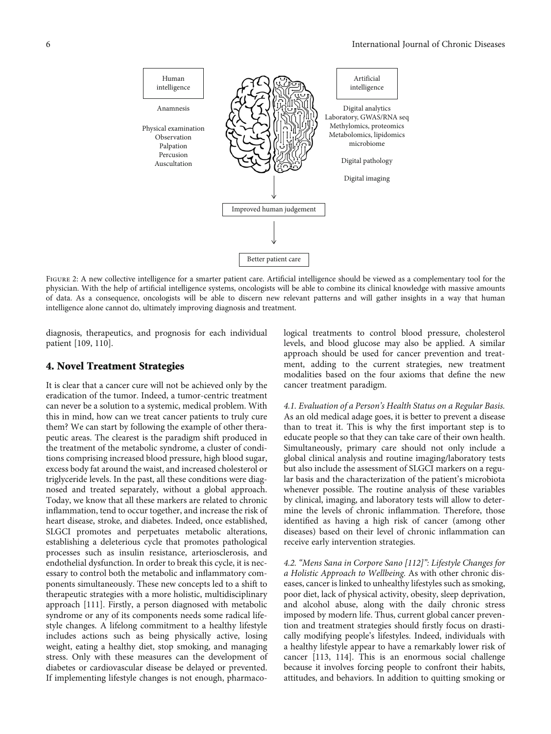<span id="page-5-0"></span>

FIGURE 2: A new collective intelligence for a smarter patient care. Artificial intelligence should be viewed as a complementary tool for the physician. With the help of artificial intelligence systems, oncologists will be able to combine its clinical knowledge with massive amounts of data. As a consequence, oncologists will be able to discern new relevant patterns and will gather insights in a way that human intelligence alone cannot do, ultimately improving diagnosis and treatment.

diagnosis, therapeutics, and prognosis for each individual patient [[109](#page-11-0), [110\]](#page-11-0).

#### 4. Novel Treatment Strategies

It is clear that a cancer cure will not be achieved only by the eradication of the tumor. Indeed, a tumor-centric treatment can never be a solution to a systemic, medical problem. With this in mind, how can we treat cancer patients to truly cure them? We can start by following the example of other therapeutic areas. The clearest is the paradigm shift produced in the treatment of the metabolic syndrome, a cluster of conditions comprising increased blood pressure, high blood sugar, excess body fat around the waist, and increased cholesterol or triglyceride levels. In the past, all these conditions were diagnosed and treated separately, without a global approach. Today, we know that all these markers are related to chronic inflammation, tend to occur together, and increase the risk of heart disease, stroke, and diabetes. Indeed, once established, SLGCI promotes and perpetuates metabolic alterations, establishing a deleterious cycle that promotes pathological processes such as insulin resistance, arteriosclerosis, and endothelial dysfunction. In order to break this cycle, it is necessary to control both the metabolic and inflammatory components simultaneously. These new concepts led to a shift to therapeutic strategies with a more holistic, multidisciplinary approach [\[111\]](#page-11-0). Firstly, a person diagnosed with metabolic syndrome or any of its components needs some radical lifestyle changes. A lifelong commitment to a healthy lifestyle includes actions such as being physically active, losing weight, eating a healthy diet, stop smoking, and managing stress. Only with these measures can the development of diabetes or cardiovascular disease be delayed or prevented. If implementing lifestyle changes is not enough, pharmacological treatments to control blood pressure, cholesterol levels, and blood glucose may also be applied. A similar approach should be used for cancer prevention and treatment, adding to the current strategies, new treatment modalities based on the four axioms that define the new cancer treatment paradigm.

4.1. Evaluation of a Person's Health Status on a Regular Basis. As an old medical adage goes, it is better to prevent a disease than to treat it. This is why the first important step is to educate people so that they can take care of their own health. Simultaneously, primary care should not only include a global clinical analysis and routine imaging/laboratory tests but also include the assessment of SLGCI markers on a regular basis and the characterization of the patient's microbiota whenever possible. The routine analysis of these variables by clinical, imaging, and laboratory tests will allow to determine the levels of chronic inflammation. Therefore, those identified as having a high risk of cancer (among other diseases) based on their level of chronic inflammation can receive early intervention strategies.

4.2. "Mens Sana in Corpore Sano [[112\]](#page-11-0)": Lifestyle Changes for a Holistic Approach to Wellbeing. As with other chronic diseases, cancer is linked to unhealthy lifestyles such as smoking, poor diet, lack of physical activity, obesity, sleep deprivation, and alcohol abuse, along with the daily chronic stress imposed by modern life. Thus, current global cancer prevention and treatment strategies should firstly focus on drastically modifying people's lifestyles. Indeed, individuals with a healthy lifestyle appear to have a remarkably lower risk of cancer [[113, 114\]](#page-11-0). This is an enormous social challenge because it involves forcing people to confront their habits, attitudes, and behaviors. In addition to quitting smoking or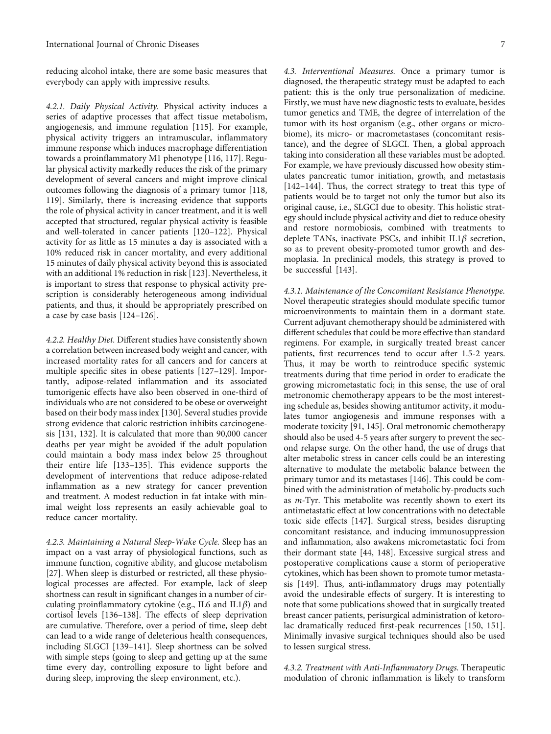reducing alcohol intake, there are some basic measures that everybody can apply with impressive results.

4.2.1. Daily Physical Activity. Physical activity induces a series of adaptive processes that affect tissue metabolism, angiogenesis, and immune regulation [[115](#page-11-0)]. For example, physical activity triggers an intramuscular, inflammatory immune response which induces macrophage differentiation towards a proinflammatory M1 phenotype [[116](#page-11-0), [117](#page-11-0)]. Regular physical activity markedly reduces the risk of the primary development of several cancers and might improve clinical outcomes following the diagnosis of a primary tumor [\[118,](#page-11-0) [119](#page-11-0)]. Similarly, there is increasing evidence that supports the role of physical activity in cancer treatment, and it is well accepted that structured, regular physical activity is feasible and well-tolerated in cancer patients [[120](#page-11-0)–[122\]](#page-12-0). Physical activity for as little as 15 minutes a day is associated with a 10% reduced risk in cancer mortality, and every additional 15 minutes of daily physical activity beyond this is associated with an additional 1% reduction in risk [[123](#page-12-0)]. Nevertheless, it is important to stress that response to physical activity prescription is considerably heterogeneous among individual patients, and thus, it should be appropriately prescribed on a case by case basis [[124](#page-12-0)–[126\]](#page-12-0).

4.2.2. Healthy Diet. Different studies have consistently shown a correlation between increased body weight and cancer, with increased mortality rates for all cancers and for cancers at multiple specific sites in obese patients [[127](#page-12-0)–[129\]](#page-12-0). Importantly, adipose-related inflammation and its associated tumorigenic effects have also been observed in one-third of individuals who are not considered to be obese or overweight based on their body mass index [[130](#page-12-0)]. Several studies provide strong evidence that caloric restriction inhibits carcinogenesis [[131, 132\]](#page-12-0). It is calculated that more than 90,000 cancer deaths per year might be avoided if the adult population could maintain a body mass index below 25 throughout their entire life [[133](#page-12-0)–[135](#page-12-0)]. This evidence supports the development of interventions that reduce adipose-related inflammation as a new strategy for cancer prevention and treatment. A modest reduction in fat intake with minimal weight loss represents an easily achievable goal to reduce cancer mortality.

4.2.3. Maintaining a Natural Sleep-Wake Cycle. Sleep has an impact on a vast array of physiological functions, such as immune function, cognitive ability, and glucose metabolism [\[27](#page-9-0)]. When sleep is disturbed or restricted, all these physiological processes are affected. For example, lack of sleep shortness can result in significant changes in a number of circulating proinflammatory cytokine (e.g., IL6 and IL1*β*) and cortisol levels [\[136](#page-12-0)–[138\]](#page-12-0). The effects of sleep deprivation are cumulative. Therefore, over a period of time, sleep debt can lead to a wide range of deleterious health consequences, including SLGCI [[139](#page-12-0)–[141\]](#page-12-0). Sleep shortness can be solved with simple steps (going to sleep and getting up at the same time every day, controlling exposure to light before and during sleep, improving the sleep environment, etc.).

4.3. Interventional Measures. Once a primary tumor is diagnosed, the therapeutic strategy must be adapted to each patient: this is the only true personalization of medicine. Firstly, we must have new diagnostic tests to evaluate, besides tumor genetics and TME, the degree of interrelation of the tumor with its host organism (e.g., other organs or microbiome), its micro- or macrometastases (concomitant resistance), and the degree of SLGCI. Then, a global approach taking into consideration all these variables must be adopted. For example, we have previously discussed how obesity stimulates pancreatic tumor initiation, growth, and metastasis [\[142](#page-12-0)–[144](#page-12-0)]. Thus, the correct strategy to treat this type of patients would be to target not only the tumor but also its original cause, i.e., SLGCI due to obesity. This holistic strategy should include physical activity and diet to reduce obesity and restore normobiosis, combined with treatments to deplete TANs, inactivate PSCs, and inhibit IL1*β* secretion, so as to prevent obesity-promoted tumor growth and desmoplasia. In preclinical models, this strategy is proved to be successful [[143](#page-12-0)].

4.3.1. Maintenance of the Concomitant Resistance Phenotype. Novel therapeutic strategies should modulate specific tumor microenvironments to maintain them in a dormant state. Current adjuvant chemotherapy should be administered with different schedules that could be more effective than standard regimens. For example, in surgically treated breast cancer patients, first recurrences tend to occur after 1.5-2 years. Thus, it may be worth to reintroduce specific systemic treatments during that time period in order to eradicate the growing micrometastatic foci; in this sense, the use of oral metronomic chemotherapy appears to be the most interesting schedule as, besides showing antitumor activity, it modulates tumor angiogenesis and immune responses with a moderate toxicity [[91](#page-11-0), [145](#page-12-0)]. Oral metronomic chemotherapy should also be used 4-5 years after surgery to prevent the second relapse surge. On the other hand, the use of drugs that alter metabolic stress in cancer cells could be an interesting alternative to modulate the metabolic balance between the primary tumor and its metastases [[146\]](#page-12-0). This could be combined with the administration of metabolic by-products such as m-Tyr. This metabolite was recently shown to exert its antimetastatic effect at low concentrations with no detectable toxic side effects [\[147](#page-12-0)]. Surgical stress, besides disrupting concomitant resistance, and inducing immunosuppression and inflammation, also awakens micrometastatic foci from their dormant state [\[44,](#page-9-0) [148\]](#page-12-0). Excessive surgical stress and postoperative complications cause a storm of perioperative cytokines, which has been shown to promote tumor metastasis [\[149\]](#page-12-0). Thus, anti-inflammatory drugs may potentially avoid the undesirable effects of surgery. It is interesting to note that some publications showed that in surgically treated breast cancer patients, perisurgical administration of ketorolac dramatically reduced first-peak recurrences [\[150,](#page-12-0) [151](#page-13-0)]. Minimally invasive surgical techniques should also be used to lessen surgical stress.

4.3.2. Treatment with Anti-Inflammatory Drugs. Therapeutic modulation of chronic inflammation is likely to transform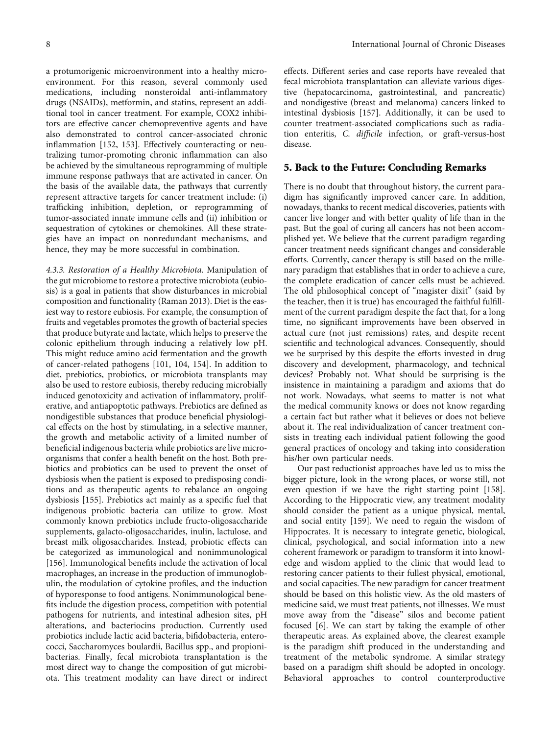a protumorigenic microenvironment into a healthy microenvironment. For this reason, several commonly used medications, including nonsteroidal anti-inflammatory drugs (NSAIDs), metformin, and statins, represent an additional tool in cancer treatment. For example, COX2 inhibitors are effective cancer chemopreventive agents and have also demonstrated to control cancer-associated chronic inflammation [[152](#page-13-0), [153\]](#page-13-0). Effectively counteracting or neutralizing tumor-promoting chronic inflammation can also be achieved by the simultaneous reprogramming of multiple immune response pathways that are activated in cancer. On the basis of the available data, the pathways that currently represent attractive targets for cancer treatment include: (i) trafficking inhibition, depletion, or reprogramming of tumor-associated innate immune cells and (ii) inhibition or sequestration of cytokines or chemokines. All these strategies have an impact on nonredundant mechanisms, and hence, they may be more successful in combination.

4.3.3. Restoration of a Healthy Microbiota. Manipulation of the gut microbiome to restore a protective microbiota (eubiosis) is a goal in patients that show disturbances in microbial composition and functionality (Raman 2013). Diet is the easiest way to restore eubiosis. For example, the consumption of fruits and vegetables promotes the growth of bacterial species that produce butyrate and lactate, which helps to preserve the colonic epithelium through inducing a relatively low pH. This might reduce amino acid fermentation and the growth of cancer-related pathogens [[101, 104](#page-11-0), [154](#page-13-0)]. In addition to diet, prebiotics, probiotics, or microbiota transplants may also be used to restore eubiosis, thereby reducing microbially induced genotoxicity and activation of inflammatory, proliferative, and antiapoptotic pathways. Prebiotics are defined as nondigestible substances that produce beneficial physiological effects on the host by stimulating, in a selective manner, the growth and metabolic activity of a limited number of beneficial indigenous bacteria while probiotics are live microorganisms that confer a health benefit on the host. Both prebiotics and probiotics can be used to prevent the onset of dysbiosis when the patient is exposed to predisposing conditions and as therapeutic agents to rebalance an ongoing dysbiosis [[155](#page-13-0)]. Prebiotics act mainly as a specific fuel that indigenous probiotic bacteria can utilize to grow. Most commonly known prebiotics include fructo-oligosaccharide supplements, galacto-oligosaccharides, inulin, lactulose, and breast milk oligosaccharides. Instead, probiotic effects can be categorized as immunological and nonimmunological [\[156\]](#page-13-0). Immunological benefits include the activation of local macrophages, an increase in the production of immunoglobulin, the modulation of cytokine profiles, and the induction of hyporesponse to food antigens. Nonimmunological benefits include the digestion process, competition with potential pathogens for nutrients, and intestinal adhesion sites, pH alterations, and bacteriocins production. Currently used probiotics include lactic acid bacteria, bifidobacteria, enterococci, Saccharomyces boulardii, Bacillus spp., and propionibacterias. Finally, fecal microbiota transplantation is the most direct way to change the composition of gut microbiota. This treatment modality can have direct or indirect

effects. Different series and case reports have revealed that fecal microbiota transplantation can alleviate various digestive (hepatocarcinoma, gastrointestinal, and pancreatic) and nondigestive (breast and melanoma) cancers linked to intestinal dysbiosis [[157\]](#page-13-0). Additionally, it can be used to counter treatment-associated complications such as radiation enteritis, C. difficile infection, or graft-versus-host disease.

#### 5. Back to the Future: Concluding Remarks

There is no doubt that throughout history, the current paradigm has significantly improved cancer care. In addition, nowadays, thanks to recent medical discoveries, patients with cancer live longer and with better quality of life than in the past. But the goal of curing all cancers has not been accomplished yet. We believe that the current paradigm regarding cancer treatment needs significant changes and considerable efforts. Currently, cancer therapy is still based on the millenary paradigm that establishes that in order to achieve a cure, the complete eradication of cancer cells must be achieved. The old philosophical concept of "magister dixit" (said by the teacher, then it is true) has encouraged the faithful fulfillment of the current paradigm despite the fact that, for a long time, no significant improvements have been observed in actual cure (not just remissions) rates, and despite recent scientific and technological advances. Consequently, should we be surprised by this despite the efforts invested in drug discovery and development, pharmacology, and technical devices? Probably not. What should be surprising is the insistence in maintaining a paradigm and axioms that do not work. Nowadays, what seems to matter is not what the medical community knows or does not know regarding a certain fact but rather what it believes or does not believe about it. The real individualization of cancer treatment consists in treating each individual patient following the good general practices of oncology and taking into consideration his/her own particular needs.

Our past reductionist approaches have led us to miss the bigger picture, look in the wrong places, or worse still, not even question if we have the right starting point [[158](#page-13-0)]. According to the Hippocratic view, any treatment modality should consider the patient as a unique physical, mental, and social entity [[159\]](#page-13-0). We need to regain the wisdom of Hippocrates. It is necessary to integrate genetic, biological, clinical, psychological, and social information into a new coherent framework or paradigm to transform it into knowledge and wisdom applied to the clinic that would lead to restoring cancer patients to their fullest physical, emotional, and social capacities. The new paradigm for cancer treatment should be based on this holistic view. As the old masters of medicine said, we must treat patients, not illnesses. We must move away from the "disease" silos and become patient focused [[6\]](#page-8-0). We can start by taking the example of other therapeutic areas. As explained above, the clearest example is the paradigm shift produced in the understanding and treatment of the metabolic syndrome. A similar strategy based on a paradigm shift should be adopted in oncology. Behavioral approaches to control counterproductive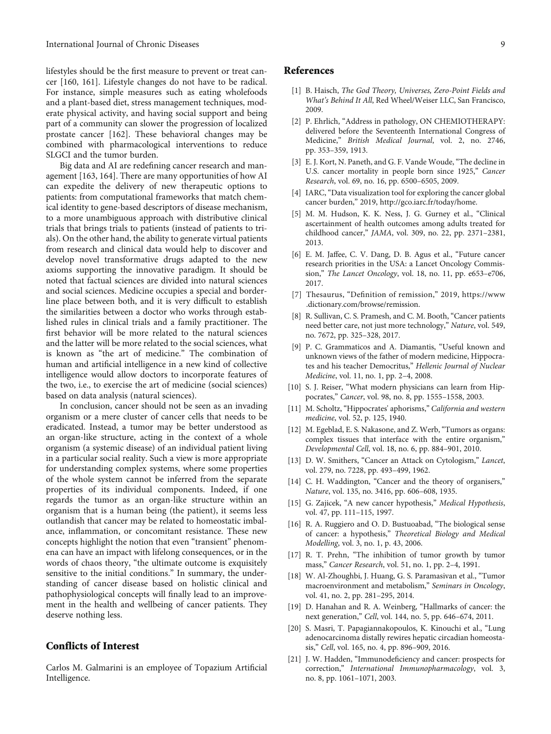<span id="page-8-0"></span>lifestyles should be the first measure to prevent or treat cancer [\[160](#page-13-0), [161\]](#page-13-0). Lifestyle changes do not have to be radical. For instance, simple measures such as eating wholefoods and a plant-based diet, stress management techniques, moderate physical activity, and having social support and being part of a community can slower the progression of localized prostate cancer [[162](#page-13-0)]. These behavioral changes may be combined with pharmacological interventions to reduce SLGCI and the tumor burden.

Big data and AI are redefining cancer research and management [[163, 164\]](#page-13-0). There are many opportunities of how AI can expedite the delivery of new therapeutic options to patients: from computational frameworks that match chemical identity to gene-based descriptors of disease mechanism, to a more unambiguous approach with distributive clinical trials that brings trials to patients (instead of patients to trials). On the other hand, the ability to generate virtual patients from research and clinical data would help to discover and develop novel transformative drugs adapted to the new axioms supporting the innovative paradigm. It should be noted that factual sciences are divided into natural sciences and social sciences. Medicine occupies a special and borderline place between both, and it is very difficult to establish the similarities between a doctor who works through established rules in clinical trials and a family practitioner. The first behavior will be more related to the natural sciences and the latter will be more related to the social sciences, what is known as "the art of medicine." The combination of human and artificial intelligence in a new kind of collective intelligence would allow doctors to incorporate features of the two, i.e., to exercise the art of medicine (social sciences) based on data analysis (natural sciences).

In conclusion, cancer should not be seen as an invading organism or a mere cluster of cancer cells that needs to be eradicated. Instead, a tumor may be better understood as an organ-like structure, acting in the context of a whole organism (a systemic disease) of an individual patient living in a particular social reality. Such a view is more appropriate for understanding complex systems, where some properties of the whole system cannot be inferred from the separate properties of its individual components. Indeed, if one regards the tumor as an organ-like structure within an organism that is a human being (the patient), it seems less outlandish that cancer may be related to homeostatic imbalance, inflammation, or concomitant resistance. These new concepts highlight the notion that even "transient" phenomena can have an impact with lifelong consequences, or in the words of chaos theory, "the ultimate outcome is exquisitely sensitive to the initial conditions." In summary, the understanding of cancer disease based on holistic clinical and pathophysiological concepts will finally lead to an improvement in the health and wellbeing of cancer patients. They deserve nothing less.

## Conflicts of Interest

Carlos M. Galmarini is an employee of Topazium Artificial Intelligence.

#### References

- [1] B. Haisch, The God Theory, Universes, Zero-Point Fields and What's Behind It All, Red Wheel/Weiser LLC, San Francisco, 2009.
- [2] P. Ehrlich, "Address in pathology, ON CHEMIOTHERAPY: delivered before the Seventeenth International Congress of Medicine," British Medical Journal, vol. 2, no. 2746, pp. 353–359, 1913.
- [3] E.J. Kort, N. Paneth, and G.F. Vande Woude, "The decline in U.S. cancer mortality in people born since 1925," Cancer Research, vol. 69, no. 16, pp. 6500–6505, 2009.
- [4] IARC, "Data visualization tool for exploring the cancer global cancer burden," 2019, [http://gco.iarc.fr/today/home.](http://gco.iarc.fr/today/home)
- [5] M. M. Hudson, K. K. Ness, J. G. Gurney et al., "Clinical ascertainment of health outcomes among adults treated for childhood cancer," JAMA, vol. 309, no. 22, pp. 2371–2381, 2013.
- [6] E. M. Jaffee, C. V. Dang, D. B. Agus et al., "Future cancer research priorities in the USA: a Lancet Oncology Commission," The Lancet Oncology, vol. 18, no. 11, pp. e653–e706, 2017.
- [7] Thesaurus, "Definition of remission," 2019, [https://www](https://www.dictionary.com/browse/remission) [.dictionary.com/browse/remission.](https://www.dictionary.com/browse/remission)
- [8] R. Sullivan, C. S. Pramesh, and C. M. Booth, "Cancer patients need better care, not just more technology," Nature, vol. 549, no. 7672, pp. 325–328, 2017.
- [9] P. C. Grammaticos and A. Diamantis, "Useful known and unknown views of the father of modern medicine, Hippocrates and his teacher Democritus," Hellenic Journal of Nuclear Medicine, vol. 11, no. 1, pp. 2–4, 2008.
- [10] S. J. Reiser, "What modern physicians can learn from Hippocrates," Cancer, vol. 98, no. 8, pp. 1555–1558, 2003.
- [11] M. Scholtz, "Hippocrates' aphorisms," California and western medicine, vol. 52, p. 125, 1940.
- [12] M. Egeblad, E. S. Nakasone, and Z. Werb, "Tumors as organs: complex tissues that interface with the entire organism," Developmental Cell, vol. 18, no. 6, pp. 884–901, 2010.
- [13] D. W. Smithers, "Cancer an Attack on Cytologism," Lancet, vol. 279, no. 7228, pp. 493–499, 1962.
- [14] C. H. Waddington, "Cancer and the theory of organisers," Nature, vol. 135, no. 3416, pp. 606–608, 1935.
- [15] G. Zajicek, "A new cancer hypothesis," Medical Hypothesis, vol. 47, pp. 111–115, 1997.
- [16] R. A. Ruggiero and O. D. Bustuoabad, "The biological sense of cancer: a hypothesis," Theoretical Biology and Medical Modelling, vol. 3, no. 1, p. 43, 2006.
- [17] R. T. Prehn, "The inhibition of tumor growth by tumor mass," Cancer Research, vol. 51, no. 1, pp. 2–4, 1991.
- [18] W. Al-Zhoughbi, J. Huang, G. S. Paramasivan et al., "Tumor macroenvironment and metabolism," Seminars in Oncology, vol. 41, no. 2, pp. 281–295, 2014.
- [19] D. Hanahan and R. A. Weinberg, "Hallmarks of cancer: the next generation," Cell, vol. 144, no. 5, pp. 646–674, 2011.
- [20] S. Masri, T. Papagiannakopoulos, K. Kinouchi et al., "Lung adenocarcinoma distally rewires hepatic circadian homeostasis," Cell, vol. 165, no. 4, pp. 896–909, 2016.
- [21] J. W. Hadden, "Immunodeficiency and cancer: prospects for correction," International Immunopharmacology, vol. 3, no. 8, pp. 1061–1071, 2003.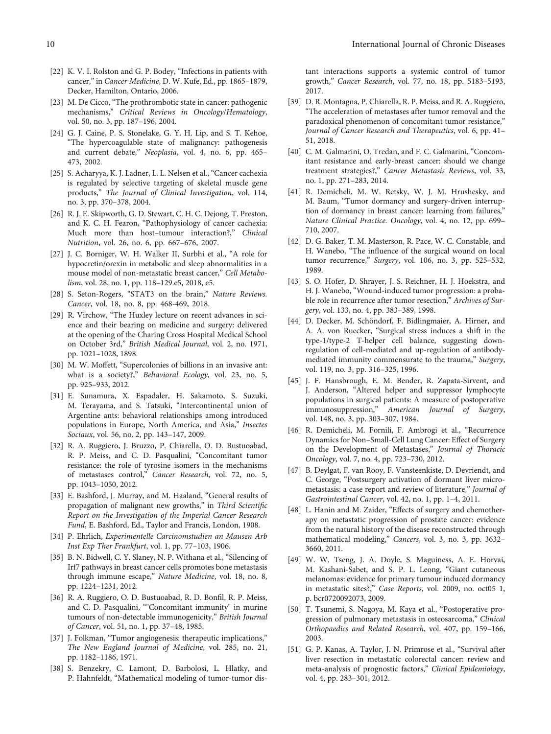- <span id="page-9-0"></span>[22] K. V. I. Rolston and G. P. Bodey, "Infections in patients with cancer," in Cancer Medicine, D. W. Kufe, Ed., pp. 1865–1879, Decker, Hamilton, Ontario, 2006.
- [23] M. De Cicco, "The prothrombotic state in cancer: pathogenic mechanisms," Critical Reviews in Oncology/Hematology, vol. 50, no. 3, pp. 187–196, 2004.
- [24] G. J. Caine, P. S. Stonelake, G. Y. H. Lip, and S. T. Kehoe, "The hypercoagulable state of malignancy: pathogenesis and current debate," Neoplasia, vol. 4, no. 6, pp. 465– 473, 2002.
- [25] S. Acharyya, K. J. Ladner, L. L. Nelsen et al., "Cancer cachexia is regulated by selective targeting of skeletal muscle gene products," The Journal of Clinical Investigation, vol. 114, no. 3, pp. 370–378, 2004.
- [26] R. J. E. Skipworth, G. D. Stewart, C. H. C. Dejong, T. Preston, and K. C. H. Fearon, "Pathophysiology of cancer cachexia: Much more than host–tumour interaction?," Clinical Nutrition, vol. 26, no. 6, pp. 667–676, 2007.
- [27] J. C. Borniger, W. H. Walker II, Surbhi et al., "A role for hypocretin/orexin in metabolic and sleep abnormalities in a mouse model of non-metastatic breast cancer," Cell Metabolism, vol. 28, no. 1, pp. 118–129.e5, 2018, e5.
- [28] S. Seton-Rogers, "STAT3 on the brain," Nature Reviews. Cancer, vol. 18, no. 8, pp. 468-469, 2018.
- [29] R. Virchow, "The Huxley lecture on recent advances in science and their bearing on medicine and surgery: delivered at the opening of the Charing Cross Hospital Medical School on October 3rd," British Medical Journal, vol. 2, no. 1971, pp. 1021–1028, 1898.
- [30] M. W. Moffett, "Supercolonies of billions in an invasive ant: what is a society?," Behavioral Ecology, vol. 23, no. 5, pp. 925–933, 2012.
- [31] E. Sunamura, X. Espadaler, H. Sakamoto, S. Suzuki, M. Terayama, and S. Tatsuki, "Intercontinental union of Argentine ants: behavioral relationships among introduced populations in Europe, North America, and Asia," Insectes Sociaux, vol. 56, no. 2, pp. 143–147, 2009.
- [32] R. A. Ruggiero, J. Bruzzo, P. Chiarella, O. D. Bustuoabad, R. P. Meiss, and C. D. Pasqualini, "Concomitant tumor resistance: the role of tyrosine isomers in the mechanisms of metastases control," Cancer Research, vol. 72, no. 5, pp. 1043–1050, 2012.
- [33] E. Bashford, J. Murray, and M. Haaland, "General results of propagation of malignant new growths," in Third Scientific Report on the Investigation of the Imperial Cancer Research Fund, E. Bashford, Ed., Taylor and Francis, London, 1908.
- [34] P. Ehrlich, Experimentelle Carcinomstudien an Mausen Arb Inst Exp Ther Frankfurt, vol. 1, pp. 77–103, 1906.
- [35] B. N. Bidwell, C. Y. Slaney, N. P. Withana et al., "Silencing of Irf7 pathways in breast cancer cells promotes bone metastasis through immune escape," Nature Medicine, vol. 18, no. 8, pp. 1224–1231, 2012.
- [36] R. A. Ruggiero, O. D. Bustuoabad, R. D. Bonfil, R. P. Meiss, and C. D. Pasqualini, ""Concomitant immunity" in murine tumours of non-detectable immunogenicity," British Journal of Cancer, vol. 51, no. 1, pp. 37–48, 1985.
- [37] J. Folkman, "Tumor angiogenesis: therapeutic implications," The New England Journal of Medicine, vol. 285, no. 21, pp. 1182–1186, 1971.
- [38] S. Benzekry, C. Lamont, D. Barbolosi, L. Hlatky, and P. Hahnfeldt, "Mathematical modeling of tumor-tumor dis-

tant interactions supports a systemic control of tumor growth," Cancer Research, vol. 77, no. 18, pp. 5183–5193, 2017.

- [39] D. R. Montagna, P. Chiarella, R. P. Meiss, and R. A. Ruggiero, "The acceleration of metastases after tumor removal and the paradoxical phenomenon of concomitant tumor resistance," Journal of Cancer Research and Therapeutics, vol. 6, pp. 41– 51, 2018.
- [40] C. M. Galmarini, O. Tredan, and F. C. Galmarini, "Concomitant resistance and early-breast cancer: should we change treatment strategies?," Cancer Metastasis Reviews, vol. 33, no. 1, pp. 271–283, 2014.
- [41] R. Demicheli, M. W. Retsky, W. J. M. Hrushesky, and M. Baum, "Tumor dormancy and surgery-driven interruption of dormancy in breast cancer: learning from failures," Nature Clinical Practice. Oncology, vol. 4, no. 12, pp. 699– 710, 2007.
- [42] D. G. Baker, T. M. Masterson, R. Pace, W. C. Constable, and H. Wanebo, "The influence of the surgical wound on local tumor recurrence," Surgery, vol. 106, no. 3, pp. 525–532, 1989.
- [43] S. O. Hofer, D. Shrayer, J. S. Reichner, H. J. Hoekstra, and H. J. Wanebo, "Wound-induced tumor progression: a probable role in recurrence after tumor resection," Archives of Surgery, vol. 133, no. 4, pp. 383–389, 1998.
- [44] D. Decker, M. Schöndorf, F. Bidlingmaier, A. Hirner, and A. A. von Ruecker, "Surgical stress induces a shift in the type-1/type-2 T-helper cell balance, suggesting downregulation of cell-mediated and up-regulation of antibodymediated immunity commensurate to the trauma," Surgery, vol. 119, no. 3, pp. 316–325, 1996.
- [45] J. F. Hansbrough, E. M. Bender, R. Zapata-Sirvent, and J. Anderson, "Altered helper and suppressor lymphocyte populations in surgical patients: A measure of postoperative immunosuppression," American Journal of Surgery, vol. 148, no. 3, pp. 303–307, 1984.
- [46] R. Demicheli, M. Fornili, F. Ambrogi et al., "Recurrence Dynamics for Non–Small-Cell Lung Cancer: Effect of Surgery on the Development of Metastases," Journal of Thoracic Oncology, vol. 7, no. 4, pp. 723–730, 2012.
- [47] B. Deylgat, F. van Rooy, F. Vansteenkiste, D. Devriendt, and C. George, "Postsurgery activation of dormant liver micrometastasis: a case report and review of literature," Journal of Gastrointestinal Cancer, vol. 42, no. 1, pp. 1–4, 2011.
- [48] L. Hanin and M. Zaider, "Effects of surgery and chemotherapy on metastatic progression of prostate cancer: evidence from the natural history of the disease reconstructed through mathematical modeling," Cancers, vol. 3, no. 3, pp. 3632– 3660, 2011.
- [49] W. W. Tseng, J. A. Doyle, S. Maguiness, A. E. Horvai, M. Kashani-Sabet, and S. P. L. Leong, "Giant cutaneous melanomas: evidence for primary tumour induced dormancy in metastatic sites?," Case Reports, vol. 2009, no. oct05 1, p. bcr0720092073, 2009.
- [50] T. Tsunemi, S. Nagoya, M. Kaya et al., "Postoperative progression of pulmonary metastasis in osteosarcoma," Clinical Orthopaedics and Related Research, vol. 407, pp. 159–166, 2003.
- [51] G. P. Kanas, A. Taylor, J. N. Primrose et al., "Survival after liver resection in metastatic colorectal cancer: review and meta-analysis of prognostic factors," Clinical Epidemiology, vol. 4, pp. 283–301, 2012.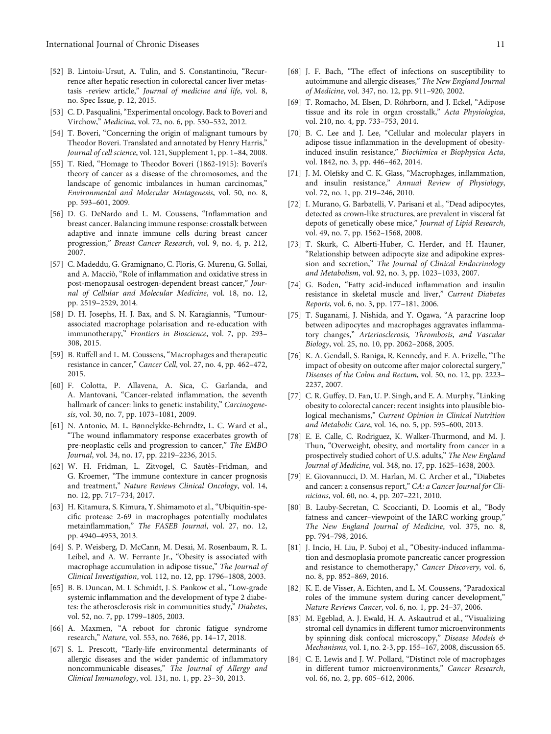- <span id="page-10-0"></span>[52] B. Lintoiu-Ursut, A. Tulin, and S. Constantinoiu, "Recurrence after hepatic resection in colorectal cancer liver metastasis -review article," Journal of medicine and life, vol. 8, no. Spec Issue, p. 12, 2015.
- [53] C. D. Pasqualini, "Experimental oncology. Back to Boveri and Virchow," Medicina, vol. 72, no. 6, pp. 530–532, 2012.
- [54] T. Boveri, "Concerning the origin of malignant tumours by Theodor Boveri. Translated and annotated by Henry Harris," Journal of cell science, vol. 121, Supplement 1, pp. 1–84, 2008.
- [55] T. Ried, "Homage to Theodor Boveri (1862-1915): Boveri's theory of cancer as a disease of the chromosomes, and the landscape of genomic imbalances in human carcinomas," Environmental and Molecular Mutagenesis, vol. 50, no. 8, pp. 593–601, 2009.
- [56] D. G. DeNardo and L. M. Coussens, "Inflammation and breast cancer. Balancing immune response: crosstalk between adaptive and innate immune cells during breast cancer progression," Breast Cancer Research, vol. 9, no. 4, p. 212, 2007.
- [57] C. Madeddu, G. Gramignano, C. Floris, G. Murenu, G. Sollai, and A. Macciò, "Role of inflammation and oxidative stress in post-menopausal oestrogen-dependent breast cancer," Journal of Cellular and Molecular Medicine, vol. 18, no. 12, pp. 2519–2529, 2014.
- [58] D. H. Josephs, H. J. Bax, and S. N. Karagiannis, "Tumourassociated macrophage polarisation and re-education with immunotherapy," Frontiers in Bioscience, vol. 7, pp. 293– 308, 2015.
- [59] B. Ruffell and L. M. Coussens, "Macrophages and therapeutic resistance in cancer," Cancer Cell, vol. 27, no. 4, pp. 462–472, 2015.
- [60] F. Colotta, P. Allavena, A. Sica, C. Garlanda, and A. Mantovani, "Cancer-related inflammation, the seventh hallmark of cancer: links to genetic instability," Carcinogenesis, vol. 30, no. 7, pp. 1073–1081, 2009.
- [61] N. Antonio, M. L. Bønnelykke-Behrndtz, L. C. Ward et al., "The wound inflammatory response exacerbates growth of pre-neoplastic cells and progression to cancer," The EMBO Journal, vol. 34, no. 17, pp. 2219–2236, 2015.
- [62] W. H. Fridman, L. Zitvogel, C. Sautès–Fridman, and G. Kroemer, "The immune contexture in cancer prognosis and treatment," Nature Reviews Clinical Oncology, vol. 14, no. 12, pp. 717–734, 2017.
- [63] H. Kitamura, S. Kimura, Y. Shimamoto et al., "Ubiquitin-specific protease 2-69 in macrophages potentially modulates metainflammation," The FASEB Journal, vol. 27, no. 12, pp. 4940–4953, 2013.
- [64] S. P. Weisberg, D. McCann, M. Desai, M. Rosenbaum, R. L. Leibel, and A. W. Ferrante Jr., "Obesity is associated with macrophage accumulation in adipose tissue," The Journal of Clinical Investigation, vol. 112, no. 12, pp. 1796–1808, 2003.
- [65] B. B. Duncan, M. I. Schmidt, J. S. Pankow et al., "Low-grade systemic inflammation and the development of type 2 diabetes: the atherosclerosis risk in communities study," Diabetes, vol. 52, no. 7, pp. 1799–1805, 2003.
- [66] A. Maxmen, "A reboot for chronic fatigue syndrome research," Nature, vol. 553, no. 7686, pp. 14–17, 2018.
- [67] S. L. Prescott, "Early-life environmental determinants of allergic diseases and the wider pandemic of inflammatory noncommunicable diseases," The Journal of Allergy and Clinical Immunology, vol. 131, no. 1, pp. 23–30, 2013.
- [68] J. F. Bach, "The effect of infections on susceptibility to autoimmune and allergic diseases," The New England Journal of Medicine, vol. 347, no. 12, pp. 911–920, 2002.
- [69] T. Romacho, M. Elsen, D. Röhrborn, and J. Eckel, "Adipose tissue and its role in organ crosstalk," Acta Physiologica, vol. 210, no. 4, pp. 733–753, 2014.
- [70] B. C. Lee and J. Lee, "Cellular and molecular players in adipose tissue inflammation in the development of obesityinduced insulin resistance," Biochimica et Biophysica Acta, vol. 1842, no. 3, pp. 446–462, 2014.
- [71] J. M. Olefsky and C. K. Glass, "Macrophages, inflammation, and insulin resistance," Annual Review of Physiology, vol. 72, no. 1, pp. 219–246, 2010.
- [72] I. Murano, G. Barbatelli, V. Parisani et al., "Dead adipocytes, detected as crown-like structures, are prevalent in visceral fat depots of genetically obese mice," Journal of Lipid Research, vol. 49, no. 7, pp. 1562–1568, 2008.
- [73] T. Skurk, C. Alberti-Huber, C. Herder, and H. Hauner, "Relationship between adipocyte size and adipokine expression and secretion," The Journal of Clinical Endocrinology and Metabolism, vol. 92, no. 3, pp. 1023–1033, 2007.
- [74] G. Boden, "Fatty acid-induced inflammation and insulin resistance in skeletal muscle and liver," Current Diabetes Reports, vol. 6, no. 3, pp. 177–181, 2006.
- [75] T. Suganami, J. Nishida, and Y. Ogawa, "A paracrine loop between adipocytes and macrophages aggravates inflammatory changes," Arteriosclerosis, Thrombosis, and Vascular Biology, vol. 25, no. 10, pp. 2062–2068, 2005.
- [76] K. A. Gendall, S. Raniga, R. Kennedy, and F. A. Frizelle, "The impact of obesity on outcome after major colorectal surgery," Diseases of the Colon and Rectum, vol. 50, no. 12, pp. 2223– 2237, 2007.
- [77] C. R. Guffey, D. Fan, U. P. Singh, and E. A. Murphy, "Linking obesity to colorectal cancer: recent insights into plausible biological mechanisms," Current Opinion in Clinical Nutrition and Metabolic Care, vol. 16, no. 5, pp. 595–600, 2013.
- [78] E. E. Calle, C. Rodriguez, K. Walker-Thurmond, and M. J. Thun, "Overweight, obesity, and mortality from cancer in a prospectively studied cohort of U.S. adults," The New England Journal of Medicine, vol. 348, no. 17, pp. 1625–1638, 2003.
- [79] E. Giovannucci, D. M. Harlan, M. C. Archer et al., "Diabetes and cancer: a consensus report," CA: a Cancer Journal for Clinicians, vol. 60, no. 4, pp. 207–221, 2010.
- [80] B. Lauby-Secretan, C. Scoccianti, D. Loomis et al., "Body fatness and cancer–viewpoint of the IARC working group," The New England Journal of Medicine, vol. 375, no. 8, pp. 794–798, 2016.
- [81] J. Incio, H. Liu, P. Suboj et al., "Obesity-induced inflammation and desmoplasia promote pancreatic cancer progression and resistance to chemotherapy," Cancer Discovery, vol. 6, no. 8, pp. 852–869, 2016.
- [82] K. E. de Visser, A. Eichten, and L. M. Coussens, "Paradoxical roles of the immune system during cancer development," Nature Reviews Cancer, vol. 6, no. 1, pp. 24–37, 2006.
- [83] M. Egeblad, A. J. Ewald, H. A. Askautrud et al., "Visualizing stromal cell dynamics in different tumor microenvironments by spinning disk confocal microscopy," Disease Models & Mechanisms, vol. 1, no. 2-3, pp. 155–167, 2008, discussion 65.
- [84] C. E. Lewis and J. W. Pollard, "Distinct role of macrophages in different tumor microenvironments," Cancer Research, vol. 66, no. 2, pp. 605–612, 2006.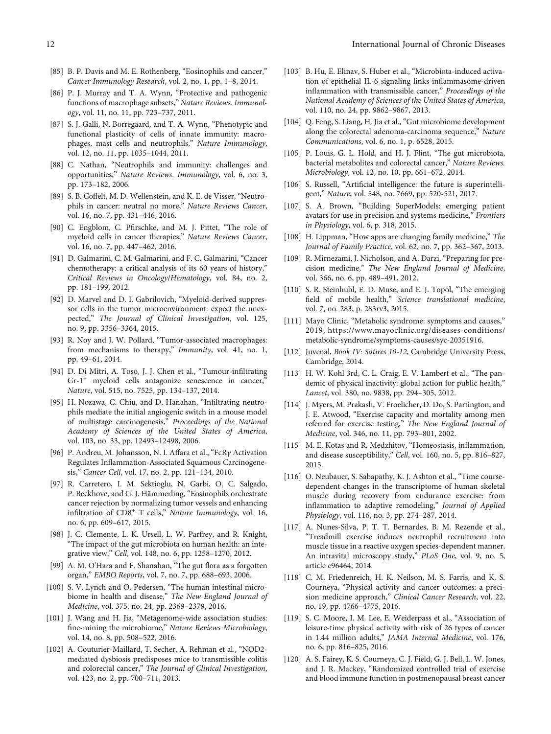- <span id="page-11-0"></span>[85] B. P. Davis and M. E. Rothenberg, "Eosinophils and cancer," Cancer Immunology Research, vol. 2, no. 1, pp. 1–8, 2014.
- [86] P. J. Murray and T. A. Wynn, "Protective and pathogenic functions of macrophage subsets," Nature Reviews. Immunology, vol. 11, no. 11, pp. 723–737, 2011.
- [87] S. J. Galli, N. Borregaard, and T. A. Wynn, "Phenotypic and functional plasticity of cells of innate immunity: macrophages, mast cells and neutrophils," Nature Immunology, vol. 12, no. 11, pp. 1035–1044, 2011.
- [88] C. Nathan, "Neutrophils and immunity: challenges and opportunities," Nature Reviews. Immunology, vol. 6, no. 3, pp. 173–182, 2006.
- [89] S. B. Coffelt, M. D. Wellenstein, and K. E. de Visser, "Neutrophils in cancer: neutral no more," Nature Reviews Cancer, vol. 16, no. 7, pp. 431–446, 2016.
- [90] C. Engblom, C. Pfirschke, and M. J. Pittet, "The role of myeloid cells in cancer therapies," Nature Reviews Cancer, vol. 16, no. 7, pp. 447–462, 2016.
- [91] D. Galmarini, C. M. Galmarini, and F. C. Galmarini, "Cancer chemotherapy: a critical analysis of its 60 years of history," Critical Reviews in Oncology/Hematology, vol. 84, no. 2, pp. 181–199, 2012.
- [92] D. Marvel and D. I. Gabrilovich, "Myeloid-derived suppressor cells in the tumor microenvironment: expect the unexpected," The Journal of Clinical Investigation, vol. 125, no. 9, pp. 3356–3364, 2015.
- [93] R. Nov and J. W. Pollard, "Tumor-associated macrophages: from mechanisms to therapy," Immunity, vol. 41, no. 1, pp. 49–61, 2014.
- [94] D. Di Mitri, A. Toso, J. J. Chen et al., "Tumour-infiltrating  $Gr-1^+$  myeloid cells antagonize senescence in cancer, Nature, vol. 515, no. 7525, pp. 134–137, 2014.
- [95] H. Nozawa, C. Chiu, and D. Hanahan, "Infiltrating neutrophils mediate the initial angiogenic switch in a mouse model of multistage carcinogenesis," Proceedings of the National Academy of Sciences of the United States of America, vol. 103, no. 33, pp. 12493–12498, 2006.
- [96] P. Andreu, M. Johansson, N. I. Affara et al., "FcR*γ* Activation Regulates Inflammation-Associated Squamous Carcinogenesis," Cancer Cell, vol. 17, no. 2, pp. 121–134, 2010.
- [97] R. Carretero, I. M. Sektioglu, N. Garbi, O. C. Salgado, P. Beckhove, and G. J. Hämmerling, "Eosinophils orchestrate cancer rejection by normalizing tumor vessels and enhancing infiltration of CD8<sup>+</sup> T cells," Nature Immunology, vol. 16, no. 6, pp. 609–617, 2015.
- [98] J. C. Clemente, L. K. Ursell, L. W. Parfrey, and R. Knight, "The impact of the gut microbiota on human health: an integrative view," Cell, vol. 148, no. 6, pp. 1258–1270, 2012.
- [99] A. M. O'Hara and F. Shanahan, "The gut flora as a forgotten organ," EMBO Reports, vol. 7, no. 7, pp. 688–693, 2006.
- [100] S. V. Lynch and O. Pedersen, "The human intestinal microbiome in health and disease," The New England Journal of Medicine, vol. 375, no. 24, pp. 2369–2379, 2016.
- [101] J. Wang and H. Jia, "Metagenome-wide association studies: fine-mining the microbiome," Nature Reviews Microbiology, vol. 14, no. 8, pp. 508–522, 2016.
- [102] A. Couturier-Maillard, T. Secher, A. Rehman et al., "NOD2 mediated dysbiosis predisposes mice to transmissible colitis and colorectal cancer," The Journal of Clinical Investigation, vol. 123, no. 2, pp. 700–711, 2013.
- [103] B. Hu, E. Elinav, S. Huber et al., "Microbiota-induced activation of epithelial IL-6 signaling links inflammasome-driven inflammation with transmissible cancer," Proceedings of the National Academy of Sciences of the United States of America, vol. 110, no. 24, pp. 9862–9867, 2013.
- [104] Q. Feng, S. Liang, H. Jia et al., "Gut microbiome development along the colorectal adenoma-carcinoma sequence," Nature Communications, vol. 6, no. 1, p. 6528, 2015.
- [105] P. Louis, G. L. Hold, and H. J. Flint, "The gut microbiota, bacterial metabolites and colorectal cancer," Nature Reviews. Microbiology, vol. 12, no. 10, pp. 661–672, 2014.
- [106] S. Russell, "Artificial intelligence: the future is superintelligent," Nature, vol. 548, no. 7669, pp. 520-521, 2017.
- [107] S. A. Brown, "Building SuperModels: emerging patient avatars for use in precision and systems medicine," Frontiers in Physiology, vol. 6, p. 318, 2015.
- [108] H. Lippman, "How apps are changing family medicine," The Journal of Family Practice, vol. 62, no. 7, pp. 362–367, 2013.
- [109] R. Mirnezami, J. Nicholson, and A. Darzi, "Preparing for precision medicine," The New England Journal of Medicine, vol. 366, no. 6, pp. 489–491, 2012.
- [110] S. R. Steinhubl, E. D. Muse, and E. J. Topol, "The emerging field of mobile health," Science translational medicine, vol. 7, no. 283, p. 283rv3, 2015.
- [111] Mayo Clinic, "Metabolic syndrome: symptoms and causes," 2019, [https://www.mayoclinic.org/diseases-conditions/](https://www.mayoclinic.org/diseases-conditions/metabolic-syndrome/symptoms-causes/syc-20351916) [metabolic-syndrome/symptoms-causes/syc-20351916.](https://www.mayoclinic.org/diseases-conditions/metabolic-syndrome/symptoms-causes/syc-20351916)
- [112] Juvenal, Book IV: Satires 10-12, Cambridge University Press, Cambridge, 2014.
- [113] H. W. Kohl 3rd, C. L. Craig, E. V. Lambert et al., "The pandemic of physical inactivity: global action for public health," Lancet, vol. 380, no. 9838, pp. 294–305, 2012.
- [114] J. Myers, M. Prakash, V. Froelicher, D. Do, S. Partington, and J. E. Atwood, "Exercise capacity and mortality among men referred for exercise testing," The New England Journal of Medicine, vol. 346, no. 11, pp. 793–801, 2002.
- [115] M. E. Kotas and R. Medzhitov, "Homeostasis, inflammation, and disease susceptibility," Cell, vol. 160, no. 5, pp. 816–827, 2015.
- [116] O. Neubauer, S. Sabapathy, K. J. Ashton et al., "Time coursedependent changes in the transcriptome of human skeletal muscle during recovery from endurance exercise: from inflammation to adaptive remodeling," Journal of Applied Physiology, vol. 116, no. 3, pp. 274–287, 2014.
- [117] A. Nunes-Silva, P. T. T. Bernardes, B. M. Rezende et al., "Treadmill exercise induces neutrophil recruitment into muscle tissue in a reactive oxygen species-dependent manner. An intravital microscopy study," PLoS One, vol. 9, no. 5, article e96464, 2014.
- [118] C. M. Friedenreich, H. K. Neilson, M. S. Farris, and K. S. Courneya, "Physical activity and cancer outcomes: a precision medicine approach," Clinical Cancer Research, vol. 22, no. 19, pp. 4766–4775, 2016.
- [119] S. C. Moore, I. M. Lee, E. Weiderpass et al., "Association of leisure-time physical activity with risk of 26 types of cancer in 1.44 million adults," JAMA Internal Medicine, vol. 176, no. 6, pp. 816–825, 2016.
- [120] A. S. Fairey, K. S. Courneya, C. J. Field, G. J. Bell, L. W. Jones, and J. R. Mackey, "Randomized controlled trial of exercise and blood immune function in postmenopausal breast cancer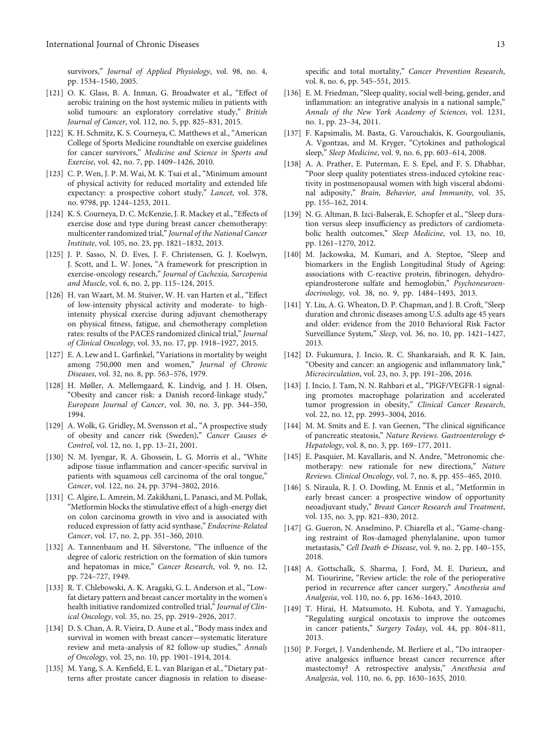<span id="page-12-0"></span>survivors," Journal of Applied Physiology, vol. 98, no. 4, pp. 1534–1540, 2005.

- [121] O. K. Glass, B. A. Inman, G. Broadwater et al., "Effect of aerobic training on the host systemic milieu in patients with solid tumours: an exploratory correlative study," British Journal of Cancer, vol. 112, no. 5, pp. 825–831, 2015.
- [122] K. H. Schmitz, K. S. Courneya, C. Matthews et al., "American College of Sports Medicine roundtable on exercise guidelines for cancer survivors," Medicine and Science in Sports and Exercise, vol. 42, no. 7, pp. 1409–1426, 2010.
- [123] C. P. Wen, J. P. M. Wai, M. K. Tsai et al., "Minimum amount of physical activity for reduced mortality and extended life expectancy: a prospective cohort study," Lancet, vol. 378, no. 9798, pp. 1244–1253, 2011.
- [124] K. S. Courneya, D. C. McKenzie, J. R. Mackey et al., "Effects of exercise dose and type during breast cancer chemotherapy: multicenter randomized trial," Journal of the National Cancer Institute, vol. 105, no. 23, pp. 1821–1832, 2013.
- [125] J. P. Sasso, N. D. Eves, J. F. Christensen, G. J. Koelwyn, J. Scott, and L. W. Jones, "A framework for prescription in exercise-oncology research," Journal of Cachexia, Sarcopenia and Muscle, vol. 6, no. 2, pp. 115–124, 2015.
- [126] H. van Waart, M. M. Stuiver, W. H. van Harten et al., "Effect of low-intensity physical activity and moderate- to highintensity physical exercise during adjuvant chemotherapy on physical fitness, fatigue, and chemotherapy completion rates: results of the PACES randomized clinical trial," Journal of Clinical Oncology, vol. 33, no. 17, pp. 1918–1927, 2015.
- [127] E. A. Lew and L. Garfinkel, "Variations in mortality by weight among 750,000 men and women," Journal of Chronic Diseases, vol. 32, no. 8, pp. 563–576, 1979.
- [128] H. Møller, A. Mellemgaard, K. Lindvig, and J. H. Olsen, "Obesity and cancer risk: a Danish record-linkage study," European Journal of Cancer, vol. 30, no. 3, pp. 344–350, 1994.
- [129] A. Wolk, G. Gridley, M. Svensson et al., "A prospective study of obesity and cancer risk (Sweden)," Cancer Causes & Control, vol. 12, no. 1, pp. 13–21, 2001.
- [130] N. M. Iyengar, R. A. Ghossein, L. G. Morris et al., "White adipose tissue inflammation and cancer-specific survival in patients with squamous cell carcinoma of the oral tongue," Cancer, vol. 122, no. 24, pp. 3794–3802, 2016.
- [131] C. Algire, L. Amrein, M. Zakikhani, L. Panasci, and M. Pollak, "Metformin blocks the stimulative effect of a high-energy diet on colon carcinoma growth in vivo and is associated with reduced expression of fatty acid synthase," Endocrine-Related Cancer, vol. 17, no. 2, pp. 351–360, 2010.
- [132] A. Tannenbaum and H. Silverstone, "The influence of the degree of caloric restriction on the formation of skin tumors and hepatomas in mice," Cancer Research, vol. 9, no. 12, pp. 724–727, 1949.
- [133] R. T. Chlebowski, A. K. Aragaki, G. L. Anderson et al., "Lowfat dietary pattern and breast cancer mortality in the women's health initiative randomized controlled trial," Journal of Clinical Oncology, vol. 35, no. 25, pp. 2919–2926, 2017.
- [134] D. S. Chan, A. R. Vieira, D. Aune et al., "Body mass index and survival in women with breast cancer—systematic literature review and meta-analysis of 82 follow-up studies," Annals of Oncology, vol. 25, no. 10, pp. 1901–1914, 2014.
- [135] M. Yang, S. A. Kenfield, E. L. van Blarigan et al., "Dietary patterns after prostate cancer diagnosis in relation to disease-

specific and total mortality," Cancer Prevention Research, vol. 8, no. 6, pp. 545–551, 2015.

- [136] E. M. Friedman, "Sleep quality, social well-being, gender, and inflammation: an integrative analysis in a national sample," Annals of the New York Academy of Sciences, vol. 1231, no. 1, pp. 23–34, 2011.
- [137] F. Kapsimalis, M. Basta, G. Varouchakis, K. Gourgoulianis, A. Vgontzas, and M. Kryger, "Cytokines and pathological sleep," Sleep Medicine, vol. 9, no. 6, pp. 603–614, 2008.
- [138] A. A. Prather, E. Puterman, E. S. Epel, and F. S. Dhabhar, "Poor sleep quality potentiates stress-induced cytokine reactivity in postmenopausal women with high visceral abdominal adiposity," Brain, Behavior, and Immunity, vol. 35, pp. 155–162, 2014.
- [139] N. G. Altman, B. Izci-Balserak, E. Schopfer et al., "Sleep duration versus sleep insufficiency as predictors of cardiometabolic health outcomes," Sleep Medicine, vol. 13, no. 10, pp. 1261–1270, 2012.
- [140] M. Jackowska, M. Kumari, and A. Steptoe, "Sleep and biomarkers in the English Longitudinal Study of Ageing: associations with C-reactive protein, fibrinogen, dehydroepiandrosterone sulfate and hemoglobin," Psychoneuroendocrinology, vol. 38, no. 9, pp. 1484–1493, 2013.
- [141] Y. Liu, A. G. Wheaton, D. P. Chapman, and J. B. Croft, "Sleep duration and chronic diseases among U.S. adults age 45 years and older: evidence from the 2010 Behavioral Risk Factor Surveillance System," Sleep, vol. 36, no. 10, pp. 1421–1427, 2013.
- [142] D. Fukumura, J. Incio, R. C. Shankaraiah, and R. K. Jain, "Obesity and cancer: an angiogenic and inflammatory link," Microcirculation, vol. 23, no. 3, pp. 191–206, 2016.
- [143] J. Incio, J. Tam, N. N. Rahbari et al., "PlGF/VEGFR-1 signaling promotes macrophage polarization and accelerated tumor progression in obesity," Clinical Cancer Research, vol. 22, no. 12, pp. 2993–3004, 2016.
- [144] M. M. Smits and E. J. van Geenen, "The clinical significance of pancreatic steatosis," Nature Reviews. Gastroenterology & Hepatology, vol. 8, no. 3, pp. 169–177, 2011.
- [145] E. Pasquier, M. Kavallaris, and N. Andre, "Metronomic chemotherapy: new rationale for new directions," Nature Reviews. Clinical Oncology, vol. 7, no. 8, pp. 455–465, 2010.
- [146] S. Niraula, R. J. O. Dowling, M. Ennis et al., "Metformin in early breast cancer: a prospective window of opportunity neoadjuvant study," Breast Cancer Research and Treatment, vol. 135, no. 3, pp. 821–830, 2012.
- [147] G. Gueron, N. Anselmino, P. Chiarella et al., "Game-changing restraint of Ros-damaged phenylalanine, upon tumor metastasis," Cell Death & Disease, vol. 9, no. 2, pp. 140–155, 2018.
- [148] A. Gottschalk, S. Sharma, J. Ford, M. E. Durieux, and M. Tiouririne, "Review article: the role of the perioperative period in recurrence after cancer surgery," Anesthesia and Analgesia, vol. 110, no. 6, pp. 1636–1643, 2010.
- [149] T. Hirai, H. Matsumoto, H. Kubota, and Y. Yamaguchi, "Regulating surgical oncotaxis to improve the outcomes in cancer patients," Surgery Today, vol. 44, pp. 804–811, 2013.
- [150] P. Forget, J. Vandenhende, M. Berliere et al., "Do intraoperative analgesics influence breast cancer recurrence after mastectomy? A retrospective analysis," Anesthesia and Analgesia, vol. 110, no. 6, pp. 1630–1635, 2010.